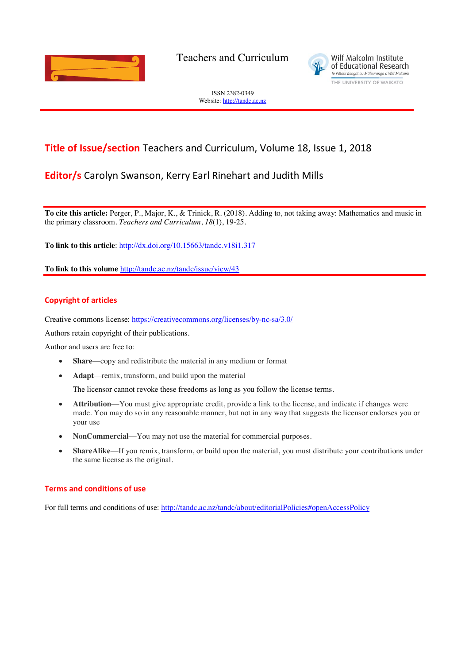

Teachers and Curriculum



ISSN 2382-0349 Website[: http://tandc.ac.nz](http://wje.org.nz/)

# **Title of Issue/section** Teachers and Curriculum, Volume 18, Issue 1, 2018

### **Editor/s** Carolyn Swanson, Kerry Earl Rinehart and Judith Mills

**To cite this article:** Perger, P., Major, K., & Trinick, R. (2018). Adding to, not taking away: Mathematics and music in the primary classroom. *Teachers and Curriculum*, *18*(1), 19-25.

**To link to this article**:<http://dx.doi.org/10.15663/tandc.v18i1.317>

**To link to this volume** <http://tandc.ac.nz/tandc/issue/view/43>

#### **Copyright of articles**

Creative commons license:<https://creativecommons.org/licenses/by-nc-sa/3.0/>

Authors retain copyright of their publications.

Author and users are free to:

- **Share—copy and redistribute the material in any medium or format**
- **Adapt**—remix, transform, and build upon the material

The licensor cannot revoke these freedoms as long as you follow the license terms.

- **Attribution**—You must give appropriate credit, provide a link to the license, and indicate if changes were made. You may do so in any reasonable manner, but not in any way that suggests the licensor endorses you or your use
- **NonCommercial—Y** ou may not use the material for commercial purposes.
- **ShareAlike—If** you remix, transform, or build upon the material, you must distribute your contributions under the same license as the original.

#### **Terms and conditions of use**

For full terms and conditions of use: <http://tandc.ac.nz/tandc/about/editorialPolicies#openAccessPolicy>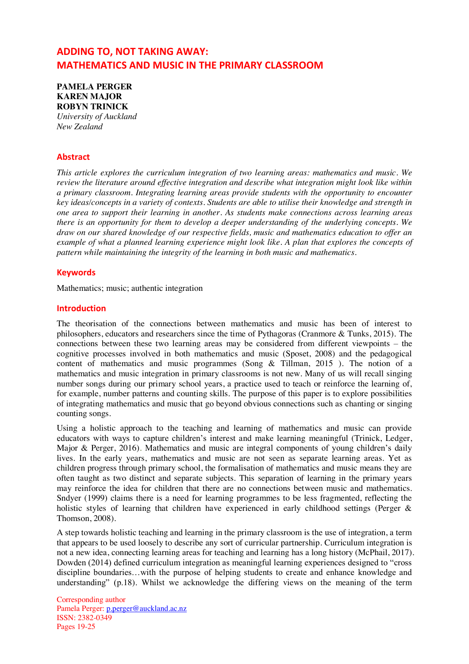## **ADDING TO, NOT TAKING AWAY: MATHEMATICS AND MUSIC IN THE PRIMARY CLASSROOM**

**PAMELA PERGER KAREN MAJOR ROBYN TRINICK** *University of Auckland New Zealand*

#### **Abstract**

*This article explores the curriculum integration of two learning areas: mathematics and music. We review the literature around effective integration and describe what integration might look like within a primary classroom. Integrating learning areas provide students with the opportunity to encounter key ideas/concepts in a variety of contexts. Students are able to utilise their knowledge and strength in one area to support their learning in another. As students make connections across learning areas there is an opportunity for them to develop a deeper understanding of the underlying concepts. We draw on our shared knowledge of our respective fields, music and mathematics education to offer an example of what a planned learning experience might look like. A plan that explores the concepts of pattern while maintaining the integrity of the learning in both music and mathematics.* 

#### **Keywords**

Mathematics; music; authentic integration

#### **Introduction**

The theorisation of the connections between mathematics and music has been of interest to philosophers, educators and researchers since the time of Pythagoras (Cranmore & Tunks, 2015). The connections between these two learning areas may be considered from different viewpoints – the cognitive processes involved in both mathematics and music (Sposet, 2008) and the pedagogical content of mathematics and music programmes (Song & Tillman, 2015 ). The notion of a mathematics and music integration in primary classrooms is not new. Many of us will recall singing number songs during our primary school years, a practice used to teach or reinforce the learning of, for example, number patterns and counting skills. The purpose of this paper is to explore possibilities of integrating mathematics and music that go beyond obvious connections such as chanting or singing counting songs.

Using a holistic approach to the teaching and learning of mathematics and music can provide educators with ways to capture children's interest and make learning meaningful (Trinick, Ledger, Major & Perger, 2016). Mathematics and music are integral components of young children's daily lives. In the early years, mathematics and music are not seen as separate learning areas. Yet as children progress through primary school, the formalisation of mathematics and music means they are often taught as two distinct and separate subjects. This separation of learning in the primary years may reinforce the idea for children that there are no connections between music and mathematics. Sndyer (1999) claims there is a need for learning programmes to be less fragmented, reflecting the holistic styles of learning that children have experienced in early childhood settings (Perger & Thomson, 2008).

A step towards holistic teaching and learning in the primary classroom is the use of integration, a term that appears to be used loosely to describe any sort of curricular partnership*.* Curriculum integration is not a new idea, connecting learning areas for teaching and learning has a long history (McPhail, 2017). Dowden (2014) defined curriculum integration as meaningful learning experiences designed to "cross discipline boundaries…with the purpose of helping students to create and enhance knowledge and understanding" (p.18). Whilst we acknowledge the differing views on the meaning of the term

Corresponding author Pamela Perger: [p.perger@auckland.ac.nz](mailto:p.perger@auckland.ac.nz) ISSN: 2382-0349 Pages 19-25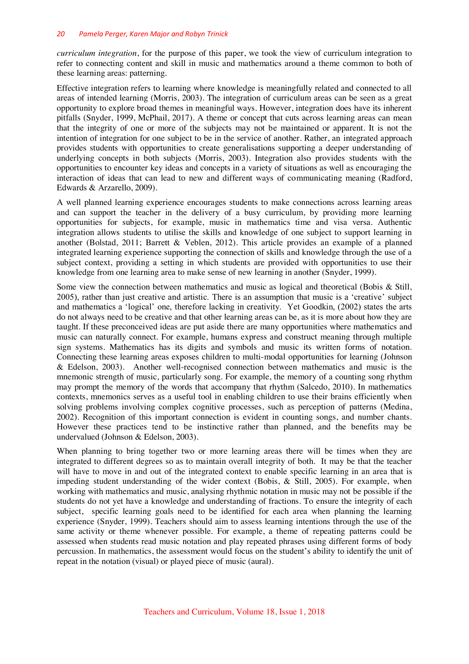#### *20 Pamela Perger, Karen Major and Robyn Trinick*

*curriculum integration*, for the purpose of this paper, we took the view of curriculum integration to refer to connecting content and skill in music and mathematics around a theme common to both of these learning areas: patterning.

Effective integration refers to learning where knowledge is meaningfully related and connected to all areas of intended learning (Morris, 2003). The integration of curriculum areas can be seen as a great opportunity to explore broad themes in meaningful ways. However, integration does have its inherent pitfalls (Snyder, 1999, McPhail, 2017). A theme or concept that cuts across learning areas can mean that the integrity of one or more of the subjects may not be maintained or apparent. It is not the intention of integration for one subject to be in the service of another. Rather, an integrated approach provides students with opportunities to create generalisations supporting a deeper understanding of underlying concepts in both subjects (Morris, 2003). Integration also provides students with the opportunities to encounter key ideas and concepts in a variety of situations as well as encouraging the interaction of ideas that can lead to new and different ways of communicating meaning (Radford, Edwards & Arzarello, 2009).

A well planned learning experience encourages students to make connections across learning areas and can support the teacher in the delivery of a busy curriculum, by providing more learning opportunities for subjects, for example, music in mathematics time and visa versa. Authentic integration allows students to utilise the skills and knowledge of one subject to support learning in another (Bolstad, 2011; Barrett & Veblen, 2012). This article provides an example of a planned integrated learning experience supporting the connection of skills and knowledge through the use of a subject context, providing a setting in which students are provided with opportunities to use their knowledge from one learning area to make sense of new learning in another (Snyder, 1999).

Some view the connection between mathematics and music as logical and theoretical (Bobis & Still, 2005), rather than just creative and artistic. There is an assumption that music is a 'creative' subject and mathematics a 'logical' one, therefore lacking in creativity. Yet Goodkin, (2002) states the arts do not always need to be creative and that other learning areas can be, as it is more about how they are taught. If these preconceived ideas are put aside there are many opportunities where mathematics and music can naturally connect. For example, humans express and construct meaning through multiple sign systems. Mathematics has its digits and symbols and music its written forms of notation. Connecting these learning areas exposes children to multi-modal opportunities for learning (Johnson & Edelson, 2003). Another well-recognised connection between mathematics and music is the mnemonic strength of music, particularly song. For example, the memory of a counting song rhythm may prompt the memory of the words that accompany that rhythm (Salcedo, 2010). In mathematics contexts, mnemonics serves as a useful tool in enabling children to use their brains efficiently when solving problems involving complex cognitive processes, such as perception of patterns (Medina, 2002). Recognition of this important connection is evident in counting songs, and number chants. However these practices tend to be instinctive rather than planned, and the benefits may be undervalued (Johnson & Edelson, 2003).

When planning to bring together two or more learning areas there will be times when they are integrated to different degrees so as to maintain overall integrity of both. It may be that the teacher will have to move in and out of the integrated context to enable specific learning in an area that is impeding student understanding of the wider context (Bobis, & Still, 2005). For example, when working with mathematics and music, analysing rhythmic notation in music may not be possible if the students do not yet have a knowledge and understanding of fractions. To ensure the integrity of each subject, specific learning goals need to be identified for each area when planning the learning experience (Snyder, 1999). Teachers should aim to assess learning intentions through the use of the same activity or theme whenever possible. For example, a theme of repeating patterns could be assessed when students read music notation and play repeated phrases using different forms of body percussion. In mathematics, the assessment would focus on the student's ability to identify the unit of repeat in the notation (visual) or played piece of music (aural).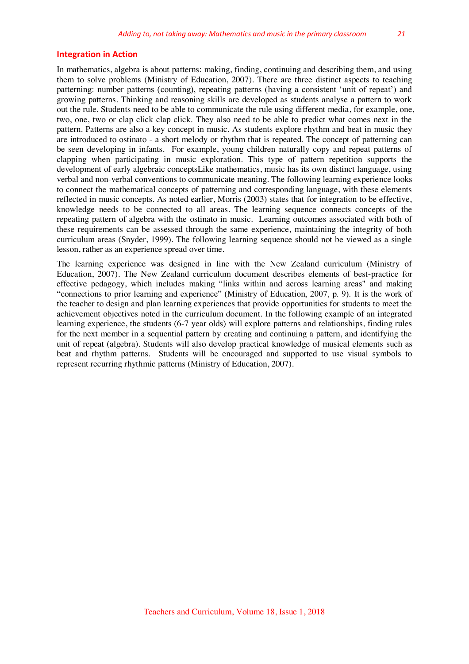#### **Integration in Action**

In mathematics, algebra is about patterns: making, finding, continuing and describing them, and using them to solve problems (Ministry of Education, 2007). There are three distinct aspects to teaching patterning: number patterns (counting), repeating patterns (having a consistent 'unit of repeat') and growing patterns. Thinking and reasoning skills are developed as students analyse a pattern to work out the rule. Students need to be able to communicate the rule using different media, for example, one, two, one, two or clap click clap click. They also need to be able to predict what comes next in the pattern. Patterns are also a key concept in music. As students explore rhythm and beat in music they are introduced to ostinato - a short melody or rhythm that is repeated. The concept of patterning can be seen developing in infants. For example, young children naturally copy and repeat patterns of clapping when participating in music exploration. This type of pattern repetition supports the development of early algebraic conceptsLike mathematics, music has its own distinct language, using verbal and non-verbal conventions to communicate meaning. The following learning experience looks to connect the mathematical concepts of patterning and corresponding language, with these elements reflected in music concepts. As noted earlier, Morris (2003) states that for integration to be effective, knowledge needs to be connected to all areas. The learning sequence connects concepts of the repeating pattern of algebra with the ostinato in music. Learning outcomes associated with both of these requirements can be assessed through the same experience, maintaining the integrity of both curriculum areas (Snyder, 1999). The following learning sequence should not be viewed as a single lesson, rather as an experience spread over time.

The learning experience was designed in line with the New Zealand curriculum (Ministry of Education, 2007). The New Zealand curriculum document describes elements of best-practice for effective pedagogy, which includes making "links within and across learning areas" and making "connections to prior learning and experience" (Ministry of Education, 2007, p. 9). It is the work of the teacher to design and plan learning experiences that provide opportunities for students to meet the achievement objectives noted in the curriculum document. In the following example of an integrated learning experience, the students (6-7 year olds) will explore patterns and relationships, finding rules for the next member in a sequential pattern by creating and continuing a pattern, and identifying the unit of repeat (algebra). Students will also develop practical knowledge of musical elements such as beat and rhythm patterns. Students will be encouraged and supported to use visual symbols to represent recurring rhythmic patterns (Ministry of Education, 2007).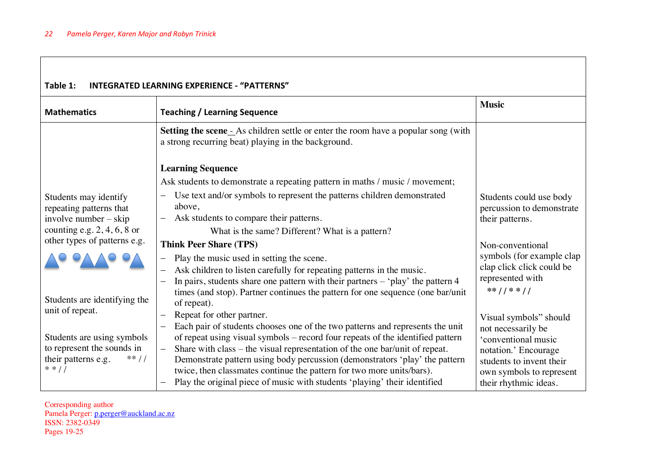| Table 1:<br><b>INTEGRATED LEARNING EXPERIENCE - "PATTERNS"</b>                                                              |                                                                                                                                                                                                                                                                                                                                                                                                                                                                                                                                             |                                                                                                                                                                              |  |
|-----------------------------------------------------------------------------------------------------------------------------|---------------------------------------------------------------------------------------------------------------------------------------------------------------------------------------------------------------------------------------------------------------------------------------------------------------------------------------------------------------------------------------------------------------------------------------------------------------------------------------------------------------------------------------------|------------------------------------------------------------------------------------------------------------------------------------------------------------------------------|--|
| <b>Mathematics</b>                                                                                                          | <b>Teaching / Learning Sequence</b>                                                                                                                                                                                                                                                                                                                                                                                                                                                                                                         | <b>Music</b>                                                                                                                                                                 |  |
|                                                                                                                             | <b>Setting the scene</b> - As children settle or enter the room have a popular song (with<br>a strong recurring beat) playing in the background.                                                                                                                                                                                                                                                                                                                                                                                            |                                                                                                                                                                              |  |
|                                                                                                                             | <b>Learning Sequence</b><br>Ask students to demonstrate a repeating pattern in maths / music / movement;                                                                                                                                                                                                                                                                                                                                                                                                                                    |                                                                                                                                                                              |  |
| Students may identify<br>repeating patterns that<br>involve number $-$ skip<br>counting e.g. $2, 4, 6, 8$ or                | Use text and/or symbols to represent the patterns children demonstrated<br>above,<br>Ask students to compare their patterns.<br>What is the same? Different? What is a pattern?                                                                                                                                                                                                                                                                                                                                                             | Students could use body<br>percussion to demonstrate<br>their patterns.                                                                                                      |  |
| other types of patterns e.g.<br>Students are identifying the                                                                | <b>Think Peer Share (TPS)</b><br>Play the music used in setting the scene.<br>Ask children to listen carefully for repeating patterns in the music.<br>In pairs, students share one pattern with their partners $-$ 'play' the pattern 4<br>times (and stop). Partner continues the pattern for one sequence (one bar/unit                                                                                                                                                                                                                  | Non-conventional<br>symbols (for example clap<br>clap click click could be<br>represented with<br>$**$ / / * * / /                                                           |  |
| unit of repeat.<br>Students are using symbols<br>to represent the sounds in<br>their patterns e.g.<br>$**$ / /<br>$* * / /$ | of repeat).<br>Repeat for other partner.<br>Each pair of students chooses one of the two patterns and represents the unit<br>of repeat using visual symbols – record four repeats of the identified pattern<br>Share with class – the visual representation of the one bar/unit of repeat.<br>$\equiv$<br>Demonstrate pattern using body percussion (demonstrators 'play' the pattern<br>twice, then classmates continue the pattern for two more units/bars).<br>Play the original piece of music with students 'playing' their identified | Visual symbols" should<br>not necessarily be<br>'conventional music<br>notation.' Encourage<br>students to invent their<br>own symbols to represent<br>their rhythmic ideas. |  |

#### Corresponding author Pamela Perger: [p.perger@auckland.ac.nz](mailto:p.perger@auckland.ac.nz) ISSN: 2382-0349 Pages 19-25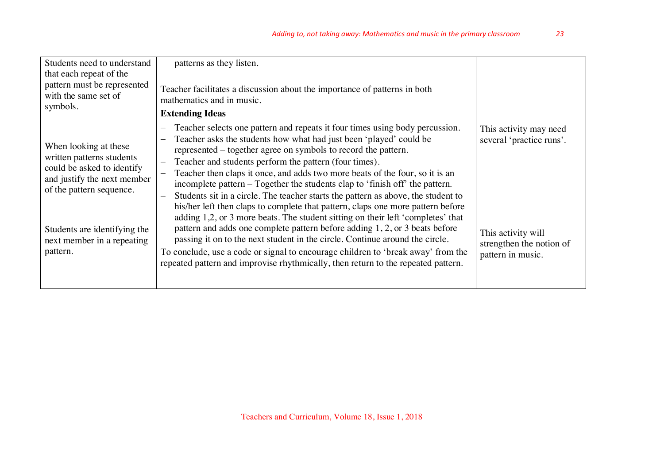| Students need to understand<br>that each repeat of the<br>pattern must be represented<br>with the same set of                                                                                                         | patterns as they listen.<br>Teacher facilitates a discussion about the importance of patterns in both                                                                                                                                                                                                                                                                                                                                                                                                                                                                                                                                                                                                                                                                                                                                                                                                                                                                                                                                                                         |                                                                                                                           |
|-----------------------------------------------------------------------------------------------------------------------------------------------------------------------------------------------------------------------|-------------------------------------------------------------------------------------------------------------------------------------------------------------------------------------------------------------------------------------------------------------------------------------------------------------------------------------------------------------------------------------------------------------------------------------------------------------------------------------------------------------------------------------------------------------------------------------------------------------------------------------------------------------------------------------------------------------------------------------------------------------------------------------------------------------------------------------------------------------------------------------------------------------------------------------------------------------------------------------------------------------------------------------------------------------------------------|---------------------------------------------------------------------------------------------------------------------------|
| symbols.                                                                                                                                                                                                              | mathematics and in music.<br><b>Extending Ideas</b>                                                                                                                                                                                                                                                                                                                                                                                                                                                                                                                                                                                                                                                                                                                                                                                                                                                                                                                                                                                                                           |                                                                                                                           |
| When looking at these<br>written patterns students<br>could be asked to identify<br>and justify the next member<br>of the pattern sequence.<br>Students are identifying the<br>next member in a repeating<br>pattern. | Teacher selects one pattern and repeats it four times using body percussion.<br>Teacher asks the students how what had just been 'played' could be<br>represented – together agree on symbols to record the pattern.<br>Teacher and students perform the pattern (four times).<br>$\overline{\phantom{0}}$<br>Teacher then claps it once, and adds two more beats of the four, so it is an<br>incomplete pattern – Together the students clap to 'finish off' the pattern.<br>Students sit in a circle. The teacher starts the pattern as above, the student to<br>his/her left then claps to complete that pattern, claps one more pattern before<br>adding 1,2, or 3 more beats. The student sitting on their left 'completes' that<br>pattern and adds one complete pattern before adding 1, 2, or 3 beats before<br>passing it on to the next student in the circle. Continue around the circle.<br>To conclude, use a code or signal to encourage children to 'break away' from the<br>repeated pattern and improvise rhythmically, then return to the repeated pattern. | This activity may need<br>several 'practice runs'.<br>This activity will<br>strengthen the notion of<br>pattern in music. |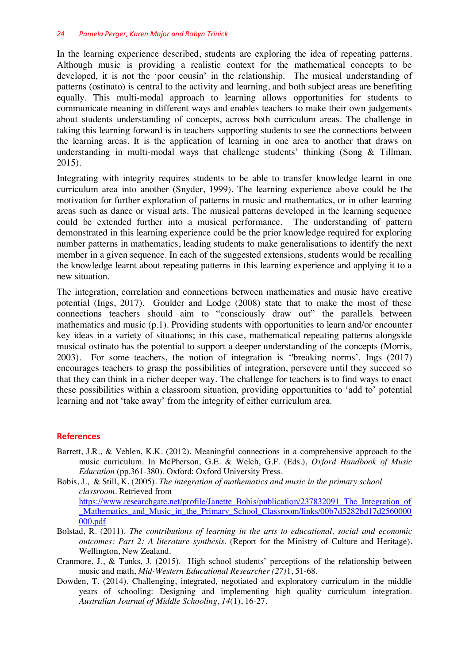In the learning experience described, students are exploring the idea of repeating patterns. Although music is providing a realistic context for the mathematical concepts to be developed, it is not the 'poor cousin' in the relationship. The musical understanding of patterns (ostinato) is central to the activity and learning, and both subject areas are benefiting equally. This multi-modal approach to learning allows opportunities for students to communicate meaning in different ways and enables teachers to make their own judgements about students understanding of concepts, across both curriculum areas. The challenge in taking this learning forward is in teachers supporting students to see the connections between the learning areas. It is the application of learning in one area to another that draws on understanding in multi-modal ways that challenge students' thinking (Song & Tillman, 2015).

Integrating with integrity requires students to be able to transfer knowledge learnt in one curriculum area into another (Snyder, 1999). The learning experience above could be the motivation for further exploration of patterns in music and mathematics, or in other learning areas such as dance or visual arts. The musical patterns developed in the learning sequence could be extended further into a musical performance. The understanding of pattern demonstrated in this learning experience could be the prior knowledge required for exploring number patterns in mathematics, leading students to make generalisations to identify the next member in a given sequence. In each of the suggested extensions, students would be recalling the knowledge learnt about repeating patterns in this learning experience and applying it to a new situation.

The integration, correlation and connections between mathematics and music have creative potential (Ings, 2017). Goulder and Lodge (2008) state that to make the most of these connections teachers should aim to "consciously draw out" the parallels between mathematics and music (p.1). Providing students with opportunities to learn and/or encounter key ideas in a variety of situations; in this case, mathematical repeating patterns alongside musical ostinato has the potential to support a deeper understanding of the concepts (Morris, 2003). For some teachers, the notion of integration is ''breaking norms'. Ings (2017) encourages teachers to grasp the possibilities of integration, persevere until they succeed so that they can think in a richer deeper way. The challenge for teachers is to find ways to enact these possibilities within a classroom situation, providing opportunities to 'add to' potential learning and not 'take away' from the integrity of either curriculum area.

### **References**

Barrett, J.R., & Veblen, K.K. (2012). Meaningful connections in a comprehensive approach to the music curriculum. In McPherson, G.E. & Welch, G.F. (Eds.), *Oxford Handbook of Music Education* (pp.361-380). Oxford: Oxford University Press.

Bobis, J., & Still, K. (2005). *The integration of mathematics and music in the primary school classroom*. Retrieved from [https://www.researchgate.net/profile/Janette\\_Bobis/publication/237832091\\_The\\_Integration\\_of](https://www.researchgate.net/profile/Janette_Bobis/publication/237832091_The_Integration_of_Mathematics_and_Music_in_the_Primary_School_Classroom/links/00b7d5282bd17d2560000000.pdf) Mathematics\_and\_Music\_in\_the\_Primary\_School\_Classroom/links/00b7d5282bd17d2560000 [000.pdf](https://www.researchgate.net/profile/Janette_Bobis/publication/237832091_The_Integration_of_Mathematics_and_Music_in_the_Primary_School_Classroom/links/00b7d5282bd17d2560000000.pdf)

- Bolstad, R. (2011). *The contributions of learning in the arts to educational, social and economic outcomes: Part 2: A literature synthesis*. (Report for the Ministry of Culture and Heritage). Wellington, New Zealand.
- Cranmore, J., & Tunks, J. (2015). High school students' perceptions of the relationship between music and math, *Mid-Western Educational Researcher (27)*1, 51-68.
- Dowden, T. (2014). Challenging, integrated, negotiated and exploratory curriculum in the middle years of schooling: Designing and implementing high quality curriculum integration. *Australian Journal of Middle Schooling, 14*(1), 16-27.